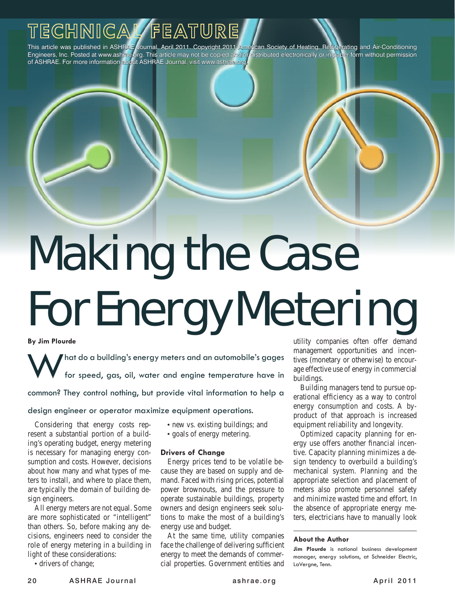This article was published in ASHRAE Journal, April 2011. Copyright 2011 American Society of Heating, Refrigerating and Air-Conditioning Engineers, Inc. Posted at www.ashrae.org. This article may not be copied and/or distributed electronically or in paper form without permission of ASHRAE. For more information about ASHRAE Journal, visit www.ashrae.org.

# **Wanny We vasc<br>Forfreezew Metering** Making the Case For Energy Metering

**By Jim Plourde**

**Addaptive Clinical** *Clinical* **<b>Excess** (*Clinical x*<sub>c</sub>) *clinical**age effective use of energy in commercial* What do a building's energy meters and an automobile's gages<br>for speed, gas, oil, water and engine temperature have in for speed, gas, oil, water and engine temperature have in

common? They control nothing, but provide vital information to help a

# design engineer or operator maximize equipment operations.

resent a substantial portion of a building's operating budget, energy metering is necessary for managing energy consumption and costs. However, decisions about how many and what types of meters to install, and where to place them, are typically the domain of building design engineers.

All energy meters are not equal. Some are more sophisticated or "intelligent" than others. So, before making any decisions, engineers need to consider the role of energy metering in a building in light of these considerations:

• drivers of change;

- new vs. existing buildings; and
- goals of energy metering.

### **Drivers of Change**

Energy prices tend to be volatile because they are based on supply and demand. Faced with rising prices, potential power brownouts, and the pressure to operate sustainable buildings, property owners and design engineers seek solutions to make the most of a building's energy use and budget.

At the same time, utility companies face the challenge of delivering sufficient energy to meet the demands of commercial properties. Government entities and

**· BIM Test at ASHRAE HQ · Controlling Corrosion in Marine Systems** management opportunities and incenutility companies often offer demand tives (monetary or otherwise) to encourbuildings.

Considering that energy costs rep- • new vs. existing buildings; and equipment reliability and longevity. Building managers tend to pursue operational efficiency as a way to control energy consumption and costs. A byproduct of that approach is increased equipment reliability and longevity.

> Optimized capacity planning for energy use offers another financial incentive. Capacity planning minimizes a design tendency to overbuild a building's mechanical system. Planning and the appropriate selection and placement of meters also promote personnel safety and minimize wasted time and effort. In the absence of appropriate energy meters, electricians have to manually look

#### **About the Author**

**Jim Plourde** is national business development manager, energy solutions, at Schneider Electric, LaVergne, Tenn.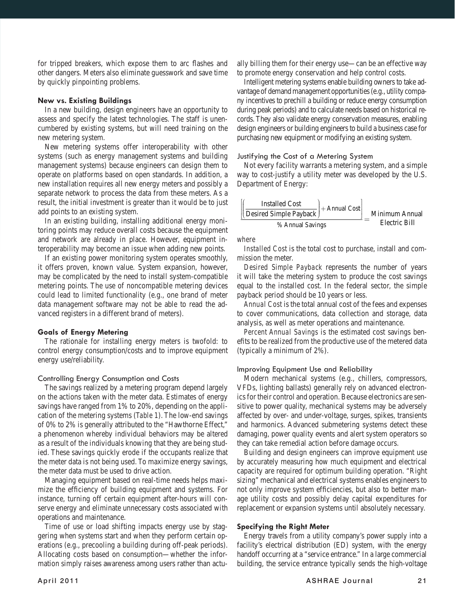for tripped breakers, which expose them to arc flashes and other dangers. Meters also eliminate guesswork and save time by quickly pinpointing problems.

#### **New vs. Existing Buildings**

In a new building, design engineers have an opportunity to assess and specify the latest technologies. The staff is unencumbered by existing systems, but will need training on the new metering system.

New metering systems offer interoperability with other systems (such as energy management systems and building management systems) because engineers can design them to operate on platforms based on open standards. In addition, a new installation requires all new energy meters and possibly a separate network to process the data from these meters. As a result, the initial investment is greater than it would be to just add points to an existing system.

In an existing building, installing additional energy monitoring points may reduce overall costs because the equipment and network are already in place. However, equipment interoperability may become an issue when adding new points.

If an existing power monitoring system operates smoothly, it offers proven, known value. System expansion, however, may be complicated by the need to install system-compatible metering points. The use of noncompatible metering devices could lead to limited functionality (e.g., one brand of meter data management software may not be able to read the advanced registers in a different brand of meters).

# **Goals of Energy Metering**

The rationale for installing energy meters is twofold: to control energy consumption/costs and to improve equipment energy use/reliability.

#### Controlling Energy Consumption and Costs

The savings realized by a metering program depend largely on the actions taken with the meter data. Estimates of energy savings have ranged from 1% to 20%, depending on the application of the metering systems (*Table 1*). The low-end savings of 0% to 2% is generally attributed to the "Hawthorne Effect," a phenomenon whereby individual behaviors may be altered as a result of the individuals knowing that they are being studied. These savings quickly erode if the occupants realize that the meter data is not being used. To maximize energy savings, the meter data must be used to drive action.

Managing equipment based on real-time needs helps maximize the efficiency of building equipment and systems. For instance, turning off certain equipment after-hours will conserve energy and eliminate unnecessary costs associated with operations and maintenance.

Time of use or load shifting impacts energy use by staggering when systems start and when they perform certain operations (e.g., precooling a building during off-peak periods). Allocating costs based on consumption—whether the information simply raises awareness among users rather than actually billing them for their energy use—can be an effective way to promote energy conservation and help control costs.

Intelligent metering systems enable building owners to take advantage of demand management opportunities (e.g., utility company incentives to prechill a building or reduce energy consumption during peak periods) and to calculate needs based on historical records. They also validate energy conservation measures, enabling design engineers or building engineers to build a business case for purchasing new equipment or modifying an existing system.

#### Justifying the Cost of a Metering System

Not every facility warrants a metering system, and a simple way to cost-justify a utility meter was developed by the U.S. Department of Energy:

$$
\underbrace{\left(\left(\frac{\text{Insteadled Cost}}{\text{Desired Simple Payback}}\right) + \text{Annual Cost}\right)}_{\% \text{ Annual Savings}} = \underbrace{\text{Minimum Annual} }_{\text{Electric Bill}}
$$

*where*

*Installed Cost* is the total cost to purchase, install and commission the meter.

*Desired Simple Payback* represents the number of years it will take the metering system to produce the cost savings equal to the installed cost. In the federal sector, the simple payback period should be 10 years or less.

*Annual Cost* is the total annual cost of the fees and expenses to cover communications, data collection and storage, data analysis, as well as meter operations and maintenance.

*Percent Annual Savings* is the estimated cost savings benefits to be realized from the productive use of the metered data (typically a minimum of 2%).

#### Improving Equipment Use and Reliability

Modern mechanical systems (e.g., chillers, compressors, VFDs, lighting ballasts) generally rely on advanced electronics for their control and operation. Because electronics are sensitive to power quality, mechanical systems may be adversely affected by over- and under-voltage, surges, spikes, transients and harmonics. Advanced submetering systems detect these damaging, power quality events and alert system operators so they can take remedial action before damage occurs.

Building and design engineers can improve equipment use by accurately measuring how much equipment and electrical capacity are required for optimum building operation. "Right sizing" mechanical and electrical systems enables engineers to not only improve system efficiencies, but also to better manage utility costs and possibly delay capital expenditures for replacement or expansion systems until absolutely necessary.

#### **Specifying the Right Meter**

Energy travels from a utility company's power supply into a facility's electrical distribution (ED) system, with the energy handoff occurring at a "service entrance." In a large commercial building, the service entrance typically sends the high-voltage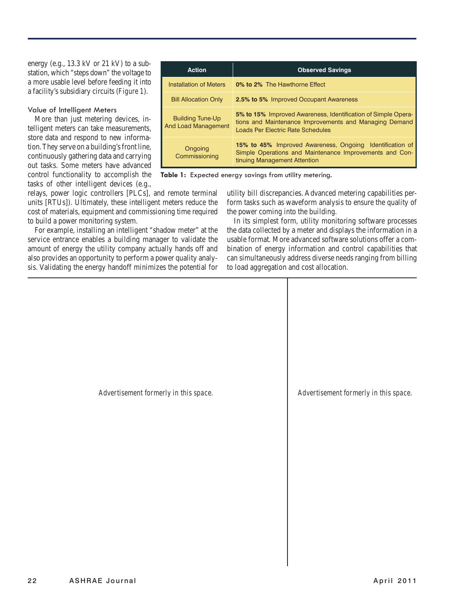energy (e.g., 13.3 kV or 21 kV) to a substation, which "steps down" the voltage to a more usable level before feeding it into a facility's subsidiary circuits (*Figure 1*).

#### Value of Intelligent Meters

More than just metering devices, intelligent meters can take measurements, store data and respond to new information. They serve on a building's front line, continuously gathering data and carrying out tasks. Some meters have advanced control functionality to accomplish the tasks of other intelligent devices (e.g.,

| <b>Action</b>                                         | <b>Observed Savings</b>                                                                                                                                      |
|-------------------------------------------------------|--------------------------------------------------------------------------------------------------------------------------------------------------------------|
| <b>Installation of Meters</b>                         | 0% to 2% The Hawthorne Effect                                                                                                                                |
| <b>Bill Allocation Only</b>                           | <b>2.5% to 5% Improved Occupant Awareness</b>                                                                                                                |
| <b>Building Tune-Up</b><br><b>And Load Management</b> | 5% to 15% Improved Awareness, Identification of Simple Opera-<br>tions and Maintenance Improvements and Managing Demand<br>Loads Per Electric Rate Schedules |
| Ongoing<br>Commissioning                              | <b>15% to 45%</b> Improved Awareness, Ongoing Identification of<br>Simple Operations and Maintenance Improvements and Con-<br>tinuing Management Attention   |

**Table 1:** Expected energy savings from utility metering.

relays, power logic controllers [PLCs], and remote terminal units [RTUs]). Ultimately, these intelligent meters reduce the cost of materials, equipment and commissioning time required to build a power monitoring system.

For example, installing an intelligent "shadow meter" at the service entrance enables a building manager to validate the amount of energy the utility company actually hands off and also provides an opportunity to perform a power quality analysis. Validating the energy handoff minimizes the potential for

utility bill discrepancies. Advanced metering capabilities perform tasks such as waveform analysis to ensure the quality of the power coming into the building.

In its simplest form, utility monitoring software processes the data collected by a meter and displays the information in a usable format. More advanced software solutions offer a combination of energy information and control capabilities that can simultaneously address diverse needs ranging from billing to load aggregation and cost allocation.

*Advertisement formerly in this space. Advertisement formerly in this space.*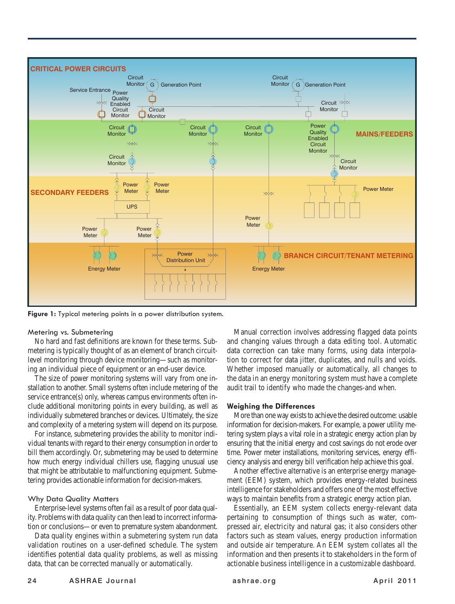

**Figure 1:** Typical metering points in a power distribution system.

#### Metering vs. Submetering

No hard and fast definitions are known for these terms. Submetering is typically thought of as an element of branch circuitlevel monitoring through device monitoring—such as monitoring an individual piece of equipment or an end-user device.

The size of power monitoring systems will vary from one installation to another. Small systems often include metering of the service entrance(s) only, whereas campus environments often include additional monitoring points in every building, as well as individually submetered branches or devices. Ultimately, the size and complexity of a metering system will depend on its purpose.

For instance, submetering provides the ability to monitor individual tenants with regard to their energy consumption in order to bill them accordingly. Or, submetering may be used to determine how much energy individual chillers use, flagging unusual use that might be attributable to malfunctioning equipment. Submetering provides actionable information for decision-makers.

### Why Data Quality Matters

Enterprise-level systems often fail as a result of poor data quality. Problems with data quality can then lead to incorrect information or conclusions—or even to premature system abandonment.

Data quality engines within a submetering system run data validation routines on a user-defined schedule. The system identifies potential data quality problems, as well as missing data, that can be corrected manually or automatically.

Manual correction involves addressing flagged data points and changing values through a data editing tool. Automatic data correction can take many forms, using data interpolation to correct for data jitter, duplicates, and nulls and voids. Whether imposed manually or automatically, all changes to the data in an energy monitoring system must have a complete audit trail to identify who made the changes-and when.

#### **Weighing the Differences**

More than one way exists to achieve the desired outcome: usable information for decision-makers. For example, a power utility metering system plays a vital role in a strategic energy action plan by ensuring that the initial energy and cost savings do not erode over time. Power meter installations, monitoring services, energy efficiency analysis and energy bill verification help achieve this goal.

Another effective alternative is an enterprise energy management (EEM) system, which provides energy-related business intelligence for stakeholders and offers one of the most effective ways to maintain benefits from a strategic energy action plan.

Essentially, an EEM system collects energy-relevant data pertaining to consumption of things such as water, compressed air, electricity and natural gas; it also considers other factors such as steam values, energy production information and outside air temperature. An EEM system collates all the information and then presents it to stakeholders in the form of actionable business intelligence in a customizable dashboard.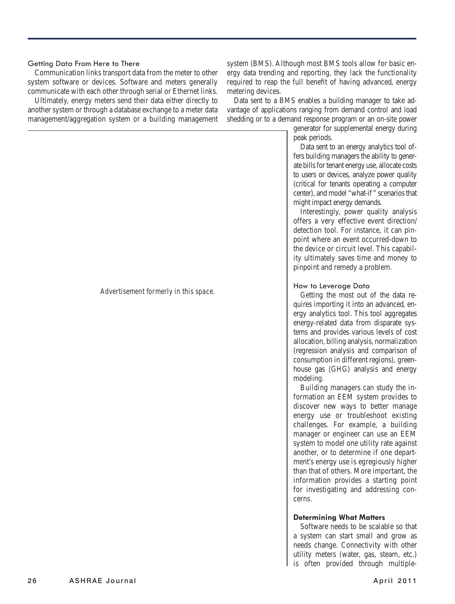# Getting Data From Here to There

Communication links transport data from the meter to other system software or devices. Software and meters generally communicate with each other through serial or Ethernet links.

Ultimately, energy meters send their data either directly to another system or through a database exchange to a meter data management/aggregation system or a building management

system (BMS). Although most BMS tools allow for basic energy data trending and reporting, they lack the functionality required to reap the full benefit of having advanced, energy metering devices.

Data sent to a BMS enables a building manager to take advantage of applications ranging from demand control and load shedding or to a demand response program or an on-site power

> generator for supplemental energy during peak periods.

> Data sent to an energy analytics tool offers building managers the ability to generate bills for tenant energy use, allocate costs to users or devices, analyze power quality (critical for tenants operating a computer center), and model "what-if" scenarios that might impact energy demands.

> Interestingly, power quality analysis offers a very effective event direction/ detection tool. For instance, it can pinpoint where an event occurred-down to the device or circuit level. This capability ultimately saves time and money to pinpoint and remedy a problem.

# How to Leverage Data

Getting the most out of the data requires importing it into an advanced, energy analytics tool. This tool aggregates energy-related data from disparate systems and provides various levels of cost allocation, billing analysis, normalization (regression analysis and comparison of consumption in different regions), greenhouse gas (GHG) analysis and energy modeling.

Building managers can study the information an EEM system provides to discover new ways to better manage energy use or troubleshoot existing challenges. For example, a building manager or engineer can use an EEM system to model one utility rate against another, or to determine if one department's energy use is egregiously higher than that of others. More important, the information provides a starting point for investigating and addressing concerns.

### **Determining What Matters**

Software needs to be scalable so that a system can start small and grow as needs change. Connectivity with other utility meters (water, gas, steam, etc.) is often provided through multiple-

#### *Advertisement formerly in this space.*